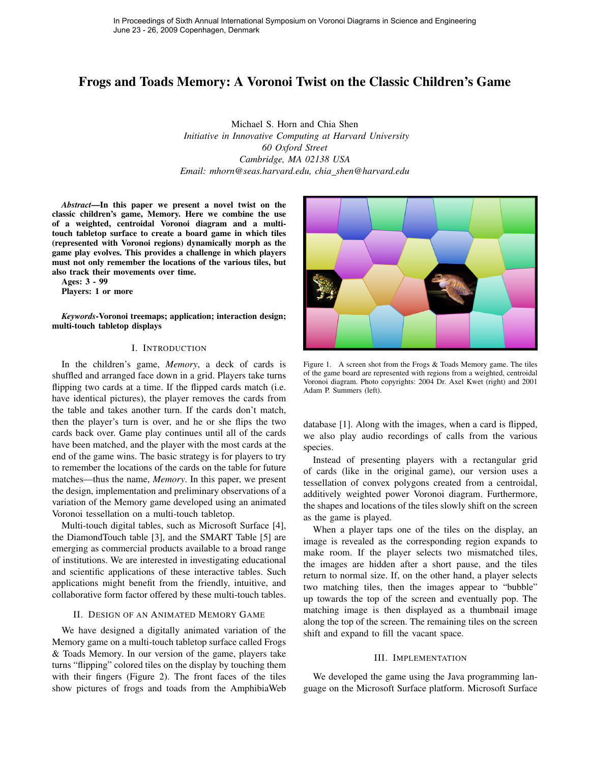# Frogs and Toads Memory: A Voronoi Twist on the Classic Children's Game

Michael S. Horn and Chia Shen *Initiative in Innovative Computing at Harvard University 60 Oxford Street Cambridge, MA 02138 USA Email: mhorn@seas.harvard.edu, chia shen@harvard.edu*

*Abstract*—In this paper we present a novel twist on the classic children's game, Memory. Here we combine the use of a weighted, centroidal Voronoi diagram and a multitouch tabletop surface to create a board game in which tiles (represented with Voronoi regions) dynamically morph as the game play evolves. This provides a challenge in which players must not only remember the locations of the various tiles, but also track their movements over time.

Ages: 3 - 99

Players: 1 or more

*Keywords*-Voronoi treemaps; application; interaction design; multi-touch tabletop displays

# I. INTRODUCTION

In the children's game, *Memory*, a deck of cards is shuffled and arranged face down in a grid. Players take turns flipping two cards at a time. If the flipped cards match (i.e. have identical pictures), the player removes the cards from the table and takes another turn. If the cards don't match, then the player's turn is over, and he or she flips the two cards back over. Game play continues until all of the cards have been matched, and the player with the most cards at the end of the game wins. The basic strategy is for players to try to remember the locations of the cards on the table for future matches—thus the name, *Memory*. In this paper, we present the design, implementation and preliminary observations of a variation of the Memory game developed using an animated Voronoi tessellation on a multi-touch tabletop.

Multi-touch digital tables, such as Microsoft Surface [4], the DiamondTouch table [3], and the SMART Table [5] are emerging as commercial products available to a broad range of institutions. We are interested in investigating educational and scientific applications of these interactive tables. Such applications might benefit from the friendly, intuitive, and collaborative form factor offered by these multi-touch tables.

## II. DESIGN OF AN ANIMATED MEMORY GAME

We have designed a digitally animated variation of the Memory game on a multi-touch tabletop surface called Frogs & Toads Memory. In our version of the game, players take turns "flipping" colored tiles on the display by touching them with their fingers (Figure 2). The front faces of the tiles show pictures of frogs and toads from the AmphibiaWeb



Figure 1. A screen shot from the Frogs & Toads Memory game. The tiles of the game board are represented with regions from a weighted, centroidal Voronoi diagram. Photo copyrights: 2004 Dr. Axel Kwet (right) and 2001 Adam P. Summers (left).

database [1]. Along with the images, when a card is flipped, we also play audio recordings of calls from the various species.

Instead of presenting players with a rectangular grid of cards (like in the original game), our version uses a tessellation of convex polygons created from a centroidal, additively weighted power Voronoi diagram. Furthermore, the shapes and locations of the tiles slowly shift on the screen as the game is played.

When a player taps one of the tiles on the display, an image is revealed as the corresponding region expands to make room. If the player selects two mismatched tiles, the images are hidden after a short pause, and the tiles return to normal size. If, on the other hand, a player selects two matching tiles, then the images appear to "bubble" up towards the top of the screen and eventually pop. The matching image is then displayed as a thumbnail image along the top of the screen. The remaining tiles on the screen shift and expand to fill the vacant space.

#### III. IMPLEMENTATION

We developed the game using the Java programming language on the Microsoft Surface platform. Microsoft Surface